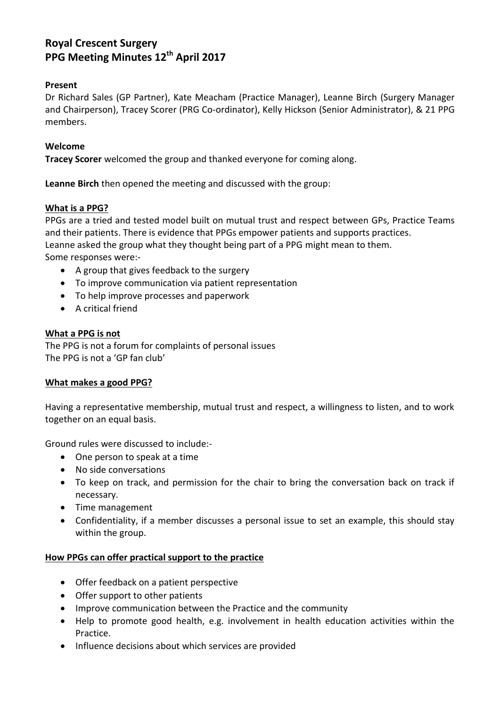# **Royal Crescent Surgery PPG Meeting Minutes 12th April 2017**

# **Present**

Dr Richard Sales (GP Partner), Kate Meacham (Practice Manager), Leanne Birch (Surgery Manager and Chairperson), Tracey Scorer (PRG Co-ordinator), Kelly Hickson (Senior Administrator), & 21 PPG members.

## **Welcome**

**Tracey Scorer** welcomed the group and thanked everyone for coming along.

**Leanne Birch** then opened the meeting and discussed with the group:

## **What is a PPG?**

PPGs are a tried and tested model built on mutual trust and respect between GPs, Practice Teams and their patients. There is evidence that PPGs empower patients and supports practices. Leanne asked the group what they thought being part of a PPG might mean to them. Some responses were:-

- A group that gives feedback to the surgery
- To improve communication via patient representation
- To help improve processes and paperwork
- A critical friend

## **What a PPG is not**

The PPG is not a forum for complaints of personal issues The PPG is not a 'GP fan club'

#### **What makes a good PPG?**

Having a representative membership, mutual trust and respect, a willingness to listen, and to work together on an equal basis.

Ground rules were discussed to include:-

- One person to speak at a time
- No side conversations
- To keep on track, and permission for the chair to bring the conversation back on track if necessary.
- Time management
- Confidentiality, if a member discusses a personal issue to set an example, this should stay within the group.

#### **How PPGs can offer practical support to the practice**

- Offer feedback on a patient perspective
- Offer support to other patients
- Improve communication between the Practice and the community
- Help to promote good health, e.g. involvement in health education activities within the Practice.
- Influence decisions about which services are provided